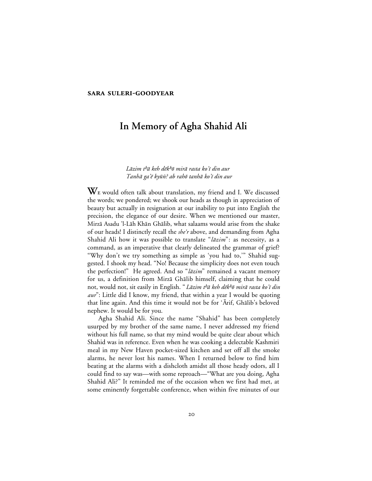#### **SARA SULERI-GOODYEAR**

# **In Memory of Agha Shahid Ali**

## Lāzim t<sup>h</sup>ā keh dēk<sup>h</sup>ō mirā rasta ko'ī din aur Tanhā ga'ē kyūn? ab rahō tanhā ko'ī din aur

W<sub>E</sub> would often talk about translation, my friend and I. We discussed the words; we pondered; we shook our heads as though in appreciation of beauty but actually in resignation at our inability to put into English the precision, the elegance of our desire. When we mentioned our master, Mirzā Asadu 'l-Lāh Khān Ghālib, what salaams would arise from the shake of our heads! I distinctly recall the *she'r* above, and demanding from Agha Shahid Ali how it was possible to translate "lazim": as necessity, as a command, as an imperative that clearly delineated the grammar of grief? "Why don't we try something as simple as 'you had to,'" Shahid suggested. I shook my head. "No! Because the simplicity does not even touch the perfection!" He agreed. And so " $l\bar{a}zim$ " remained a vacant memory for us, a definition from Mirzā Ghālib himself, claiming that he could not, would not, sit easily in English. "Lāzim t<sup>h</sup>ā keh dēk<sup>h</sup>ō mirā rasta ko'ī din  $aur$ : Little did I know, my friend, that within a year I would be quoting that line again. And this time it would not be for 'Arif, Ghālib's beloved nephew. It would be for you.

Agha Shahid Ali. Since the name "Shahid" has been completely usurped by my brother of the same name, I never addressed my friend without his full name, so that my mind would be quite clear about which Shahid was in reference. Even when he was cooking a delectable Kashmiri meal in my New Haven pocket-sized kitchen and set off all the smoke alarms, he never lost his names. When I returned below to find him beating at the alarms with a dishcloth amidst all those heady odors, all I could find to say was—with some reproach—"What are you doing, Agha Shahid Ali?" It reminded me of the occasion when we first had met, at some eminently forgettable conference, when within five minutes of our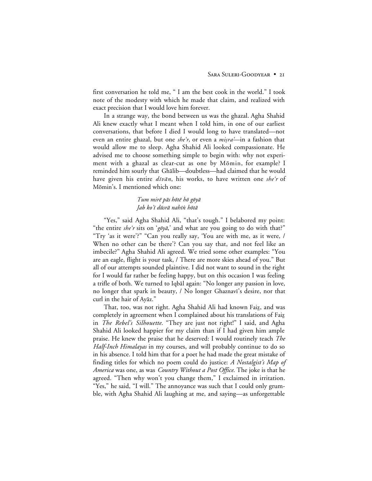first conversation he told me, " I am the best cook in the world." I took note of the modesty with which he made that claim, and realized with exact precision that I would love him forever.

In a strange way, the bond between us was the ghazal. Agha Shahid Ali knew exactly what I meant when I told him, in one of our earliest conversations, that before I died I would long to have translated—not even an entire ghazal, but one she'r, or even a misra—in a fashion that would allow me to sleep. Agha Shahid Ali looked compassionate. He advised me to choose something simple to begin with: why not experiment with a ghazal as clear-cut as one by Måmin, for example? I reminded him sourly that Gh<u>ālib—doubtless—had claimed that he would</u> have given his entire  $div\bar{a}n$ , his works, to have written one she'r of Måmin's. I mentioned which one:

### Tum mirē pās hōtē hō gōyā Jab ko'ī dūsrā nahīn hōtā

"Yes," said Agha Shahid Ali, "that's tough." I belabored my point: "the entire she'r sits on 'gōyā,' and what are you going to do with that?" "Try 'as it were'?" "Can you really say, 'You are with me, as it were, / When no other can be there'? Can you say that, and not feel like an imbecile?" Agha Shahid Ali agreed. We tried some other examples: "You are an eagle, flight is your task, / There are more skies ahead of you." But all of our attempts sounded plaintive. I did not want to sound in the right for I would far rather be feeling happy, but on this occasion I was feeling a trifle of both. We turned to Iqbāl again: "No longer any passion in love, no longer that spark in beauty, / No longer Ghaznavi's desire, nor that curl in the hair of Ayāz."

That, too, was not right. Agha Shahid Ali had known Fai¤, and was completely in agreement when I complained about his translations of Faiz in *The Rebel's Silhouette*. "They are just not right!" I said, and Agha Shahid Ali looked happier for my claim than if I had given him ample praise. He knew the praise that he deserved: I would routinely teach *The Half-Inch Himalayas* in my courses, and will probably continue to do so in his absence. I told him that for a poet he had made the great mistake of finding titles for which no poem could do justice: *A Nostalgist's Map of America* was one, as was *Country Without a Post Office*. The joke is that he agreed. "Then why won't you change them," I exclaimed in irritation. "Yes," he said, "I will." The annoyance was such that I could only grumble, with Agha Shahid Ali laughing at me, and saying—as unforgettable